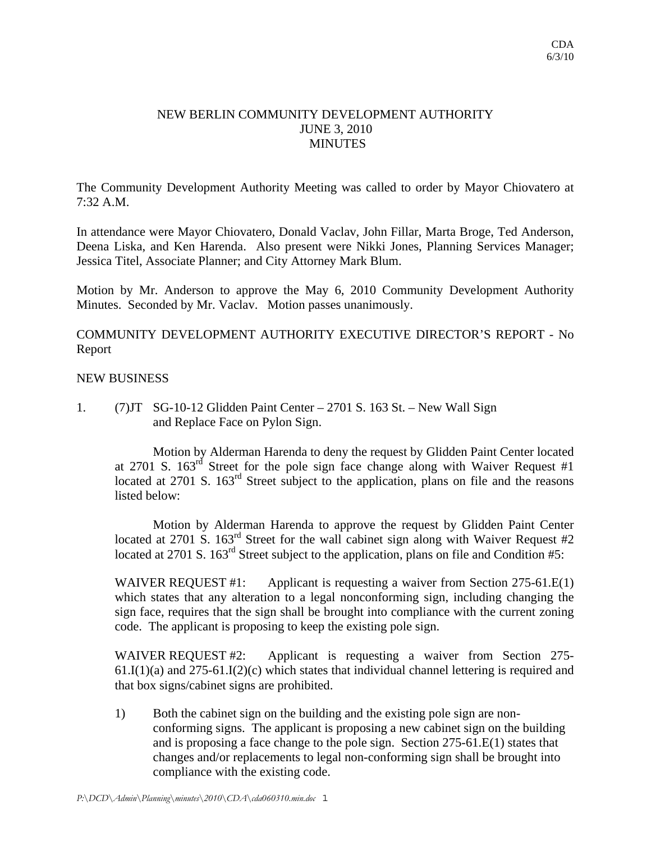## NEW BERLIN COMMUNITY DEVELOPMENT AUTHORITY JUNE 3, 2010 **MINUTES**

The Community Development Authority Meeting was called to order by Mayor Chiovatero at 7:32 A.M.

In attendance were Mayor Chiovatero, Donald Vaclav, John Fillar, Marta Broge, Ted Anderson, Deena Liska, and Ken Harenda. Also present were Nikki Jones, Planning Services Manager; Jessica Titel, Associate Planner; and City Attorney Mark Blum.

Motion by Mr. Anderson to approve the May 6, 2010 Community Development Authority Minutes. Seconded by Mr. Vaclav. Motion passes unanimously.

COMMUNITY DEVELOPMENT AUTHORITY EXECUTIVE DIRECTOR'S REPORT - No Report

## NEW BUSINESS

1. (7)JT SG-10-12 Glidden Paint Center – 2701 S. 163 St. – New Wall Sign and Replace Face on Pylon Sign.

 Motion by Alderman Harenda to deny the request by Glidden Paint Center located at 2701 S.  $163^{rd}$  Street for the pole sign face change along with Waiver Request #1 located at 2701 S.  $163<sup>rd</sup>$  Street subject to the application, plans on file and the reasons listed below:

 Motion by Alderman Harenda to approve the request by Glidden Paint Center located at 2701 S. 163<sup>rd</sup> Street for the wall cabinet sign along with Waiver Request #2 located at 2701 S. 163<sup>rd</sup> Street subject to the application, plans on file and Condition #5:

WAIVER REQUEST #1: Applicant is requesting a waiver from Section 275-61.E(1) which states that any alteration to a legal nonconforming sign, including changing the sign face, requires that the sign shall be brought into compliance with the current zoning code. The applicant is proposing to keep the existing pole sign.

WAIVER REQUEST #2: Applicant is requesting a waiver from Section 275- $61.I(1)(a)$  and  $275-61.I(2)(c)$  which states that individual channel lettering is required and that box signs/cabinet signs are prohibited.

1) Both the cabinet sign on the building and the existing pole sign are nonconforming signs. The applicant is proposing a new cabinet sign on the building and is proposing a face change to the pole sign. Section 275-61.E(1) states that changes and/or replacements to legal non-conforming sign shall be brought into compliance with the existing code.